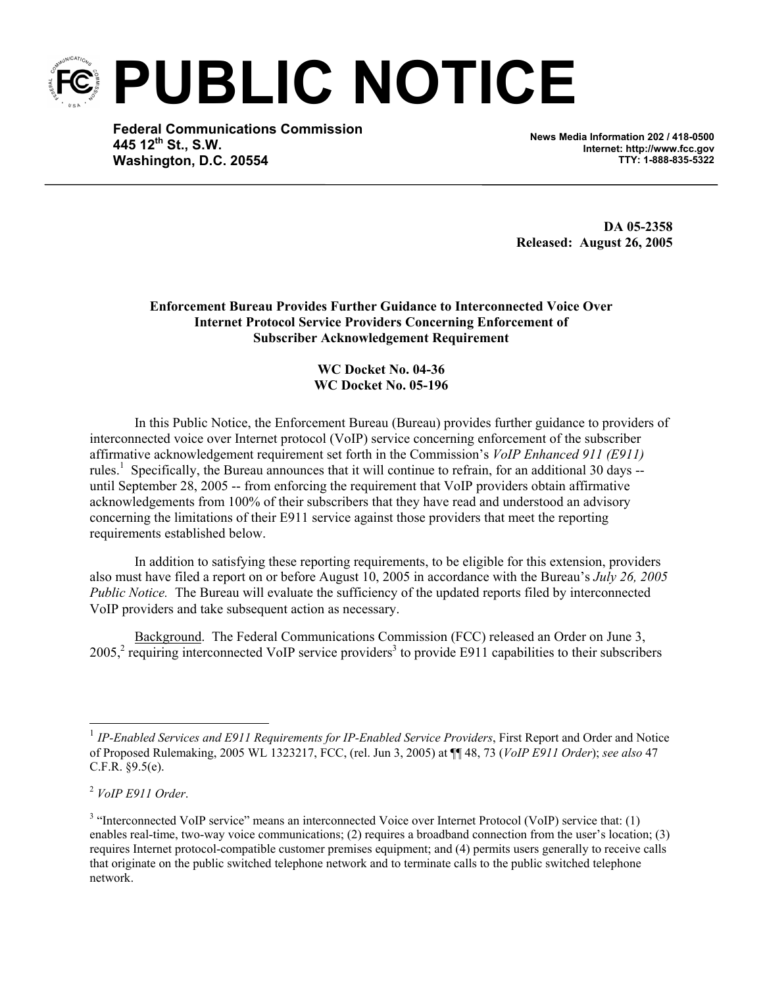**PUBLIC NOTICE** 

**Federal Communications Commission 445 12th St., S.W. Washington, D.C. 20554**

**News Media Information 202 / 418-0500 Internet: http://www.fcc.gov TTY: 1-888-835-5322**

**DA 05-2358 Released: August 26, 2005** 

**Enforcement Bureau Provides Further Guidance to Interconnected Voice Over Internet Protocol Service Providers Concerning Enforcement of Subscriber Acknowledgement Requirement** 

> **WC Docket No. 04-36 WC Docket No. 05-196**

In this Public Notice, the Enforcement Bureau (Bureau) provides further guidance to providers of interconnected voice over Internet protocol (VoIP) service concerning enforcement of the subscriber affirmative acknowledgement requirement set forth in the Commission's *VoIP Enhanced 911 (E911)* rules.<sup>1</sup> Specifically, the Bureau announces that it will continue to refrain, for an additional 30 days -until September 28, 2005 -- from enforcing the requirement that VoIP providers obtain affirmative acknowledgements from 100% of their subscribers that they have read and understood an advisory concerning the limitations of their E911 service against those providers that meet the reporting requirements established below.

In addition to satisfying these reporting requirements, to be eligible for this extension, providers also must have filed a report on or before August 10, 2005 in accordance with the Bureau's *July 26, 2005 Public Notice.* The Bureau will evaluate the sufficiency of the updated reports filed by interconnected VoIP providers and take subsequent action as necessary.

Background. The Federal Communications Commission (FCC) released an Order on June 3,  $2005<sup>2</sup>$  requiring interconnected VoIP service providers<sup>3</sup> to provide E911 capabilities to their subscribers

1

<sup>&</sup>lt;sup>1</sup> IP-Enabled Services and E911 Requirements for IP-Enabled Service Providers, First Report and Order and Notice of Proposed Rulemaking, 2005 WL 1323217, FCC, (rel. Jun 3, 2005) at ¶¶ 48, 73 (*VoIP E911 Order*); *see also* 47 C.F.R. §9.5(e).

<sup>2</sup>  *VoIP E911 Order*.

<sup>&</sup>lt;sup>3</sup> "Interconnected VoIP service" means an interconnected Voice over Internet Protocol (VoIP) service that: (1) enables real-time, two-way voice communications; (2) requires a broadband connection from the user's location; (3) requires Internet protocol-compatible customer premises equipment; and (4) permits users generally to receive calls that originate on the public switched telephone network and to terminate calls to the public switched telephone network.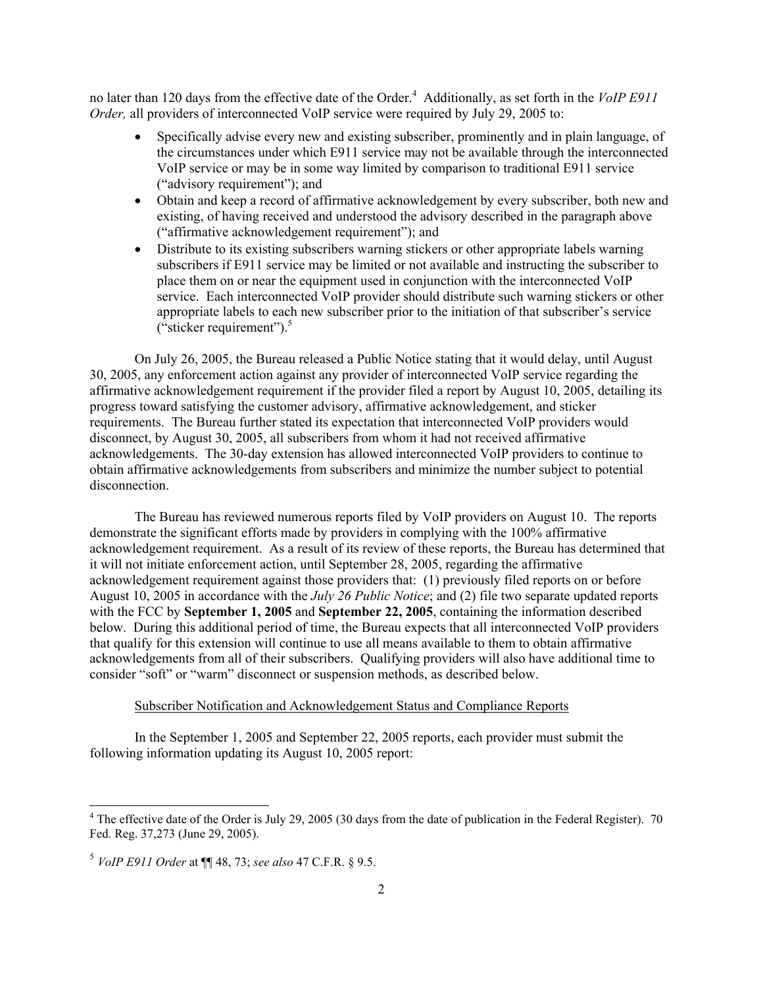no later than 120 days from the effective date of the Order.<sup>4</sup> Additionally, as set forth in the *VoIP E911 Order,* all providers of interconnected VoIP service were required by July 29, 2005 to:

- Specifically advise every new and existing subscriber, prominently and in plain language, of the circumstances under which E911 service may not be available through the interconnected VoIP service or may be in some way limited by comparison to traditional E911 service ("advisory requirement"); and
- Obtain and keep a record of affirmative acknowledgement by every subscriber, both new and existing, of having received and understood the advisory described in the paragraph above ("affirmative acknowledgement requirement"); and
- Distribute to its existing subscribers warning stickers or other appropriate labels warning subscribers if E911 service may be limited or not available and instructing the subscriber to place them on or near the equipment used in conjunction with the interconnected VoIP service. Each interconnected VoIP provider should distribute such warning stickers or other appropriate labels to each new subscriber prior to the initiation of that subscriber's service ("sticker requirement"). $5$

On July 26, 2005, the Bureau released a Public Notice stating that it would delay, until August 30, 2005, any enforcement action against any provider of interconnected VoIP service regarding the affirmative acknowledgement requirement if the provider filed a report by August 10, 2005, detailing its progress toward satisfying the customer advisory, affirmative acknowledgement, and sticker requirements. The Bureau further stated its expectation that interconnected VoIP providers would disconnect, by August 30, 2005, all subscribers from whom it had not received affirmative acknowledgements. The 30-day extension has allowed interconnected VoIP providers to continue to obtain affirmative acknowledgements from subscribers and minimize the number subject to potential disconnection.

The Bureau has reviewed numerous reports filed by VoIP providers on August 10. The reports demonstrate the significant efforts made by providers in complying with the 100% affirmative acknowledgement requirement. As a result of its review of these reports, the Bureau has determined that it will not initiate enforcement action, until September 28, 2005, regarding the affirmative acknowledgement requirement against those providers that: (1) previously filed reports on or before August 10, 2005 in accordance with the *July 26 Public Notice*; and (2) file two separate updated reports with the FCC by **September 1, 2005** and **September 22, 2005**, containing the information described below. During this additional period of time, the Bureau expects that all interconnected VoIP providers that qualify for this extension will continue to use all means available to them to obtain affirmative acknowledgements from all of their subscribers. Qualifying providers will also have additional time to consider "soft" or "warm" disconnect or suspension methods, as described below.

## Subscriber Notification and Acknowledgement Status and Compliance Reports

In the September 1, 2005 and September 22, 2005 reports, each provider must submit the following information updating its August 10, 2005 report:

<sup>&</sup>lt;sup>4</sup> The effective date of the Order is July 29, 2005 (30 days from the date of publication in the Federal Register). 70 Fed. Reg. 37,273 (June 29, 2005).

<sup>5</sup> *VoIP E911 Order* at ¶¶ 48, 73; *see also* 47 C.F.R. § 9.5.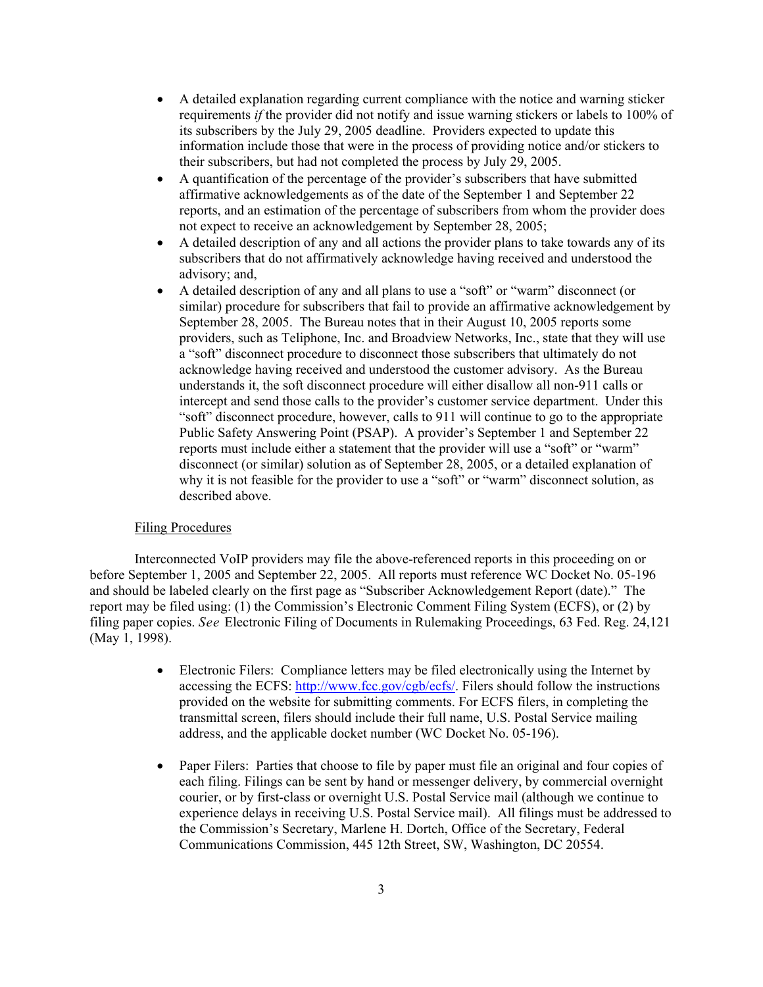- A detailed explanation regarding current compliance with the notice and warning sticker requirements *if* the provider did not notify and issue warning stickers or labels to 100% of its subscribers by the July 29, 2005 deadline. Providers expected to update this information include those that were in the process of providing notice and/or stickers to their subscribers, but had not completed the process by July 29, 2005.
- A quantification of the percentage of the provider's subscribers that have submitted affirmative acknowledgements as of the date of the September 1 and September 22 reports, and an estimation of the percentage of subscribers from whom the provider does not expect to receive an acknowledgement by September 28, 2005;
- A detailed description of any and all actions the provider plans to take towards any of its subscribers that do not affirmatively acknowledge having received and understood the advisory; and,
- A detailed description of any and all plans to use a "soft" or "warm" disconnect (or similar) procedure for subscribers that fail to provide an affirmative acknowledgement by September 28, 2005. The Bureau notes that in their August 10, 2005 reports some providers, such as Teliphone, Inc. and Broadview Networks, Inc., state that they will use a "soft" disconnect procedure to disconnect those subscribers that ultimately do not acknowledge having received and understood the customer advisory. As the Bureau understands it, the soft disconnect procedure will either disallow all non-911 calls or intercept and send those calls to the provider's customer service department. Under this "soft" disconnect procedure, however, calls to 911 will continue to go to the appropriate Public Safety Answering Point (PSAP). A provider's September 1 and September 22 reports must include either a statement that the provider will use a "soft" or "warm" disconnect (or similar) solution as of September 28, 2005, or a detailed explanation of why it is not feasible for the provider to use a "soft" or "warm" disconnect solution, as described above.

## Filing Procedures

Interconnected VoIP providers may file the above-referenced reports in this proceeding on or before September 1, 2005 and September 22, 2005. All reports must reference WC Docket No. 05-196 and should be labeled clearly on the first page as "Subscriber Acknowledgement Report (date)." The report may be filed using: (1) the Commission's Electronic Comment Filing System (ECFS), or (2) by filing paper copies. *See* Electronic Filing of Documents in Rulemaking Proceedings, 63 Fed. Reg. 24,121 (May 1, 1998).

- Electronic Filers: Compliance letters may be filed electronically using the Internet by accessing the ECFS: http://www.fcc.gov/cgb/ecfs/. Filers should follow the instructions provided on the website for submitting comments. For ECFS filers, in completing the transmittal screen, filers should include their full name, U.S. Postal Service mailing address, and the applicable docket number (WC Docket No. 05-196).
- Paper Filers: Parties that choose to file by paper must file an original and four copies of each filing. Filings can be sent by hand or messenger delivery, by commercial overnight courier, or by first-class or overnight U.S. Postal Service mail (although we continue to experience delays in receiving U.S. Postal Service mail). All filings must be addressed to the Commission's Secretary, Marlene H. Dortch, Office of the Secretary, Federal Communications Commission, 445 12th Street, SW, Washington, DC 20554.